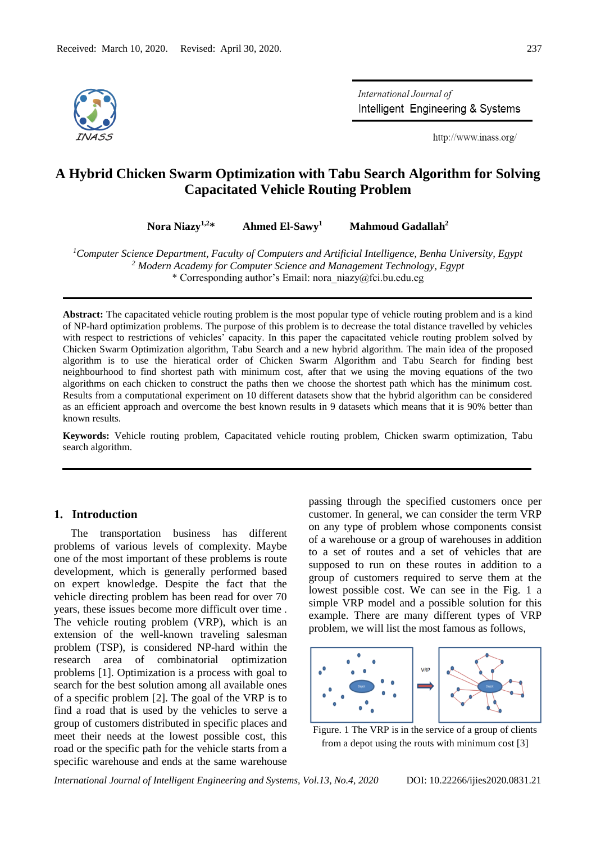

International Journal of Intelligent Engineering & Systems

http://www.inass.org/

# **A Hybrid Chicken Swarm Optimization with Tabu Search Algorithm for Solving Capacitated Vehicle Routing Problem**

**Nora Niazy1,2\* Ahmed El-Sawy<sup>1</sup> Mahmoud Gadallah<sup>2</sup>**

*<sup>1</sup>Computer Science Department, Faculty of Computers and Artificial Intelligence, Benha University, Egypt <sup>2</sup> Modern Academy for Computer Science and Management Technology, Egypt* \* Corresponding author's Email: nora\_niazy@fci.bu.edu.eg

**Abstract:** The capacitated vehicle routing problem is the most popular type of vehicle routing problem and is a kind of NP-hard optimization problems. The purpose of this problem is to decrease the total distance travelled by vehicles with respect to restrictions of vehicles' capacity. In this paper the capacitated vehicle routing problem solved by Chicken Swarm Optimization algorithm, Tabu Search and a new hybrid algorithm. The main idea of the proposed algorithm is to use the hieratical order of Chicken Swarm Algorithm and Tabu Search for finding best neighbourhood to find shortest path with minimum cost, after that we using the moving equations of the two algorithms on each chicken to construct the paths then we choose the shortest path which has the minimum cost. Results from a computational experiment on 10 different datasets show that the hybrid algorithm can be considered as an efficient approach and overcome the best known results in 9 datasets which means that it is 90% better than known results.

**Keywords:** Vehicle routing problem, Capacitated vehicle routing problem, Chicken swarm optimization, Tabu search algorithm.

### **1. Introduction**

The transportation business has different problems of various levels of complexity. Maybe one of the most important of these problems is route development, which is generally performed based on expert knowledge. Despite the fact that the vehicle directing problem has been read for over 70 years, these issues become more difficult over time . The vehicle routing problem (VRP), which is an extension of the well-known traveling salesman problem (TSP), is considered NP-hard within the research area of combinatorial optimization problems [1]. Optimization is a process with goal to search for the best solution among all available ones of a specific problem [2]. The goal of the VRP is to find a road that is used by the vehicles to serve a group of customers distributed in specific places and meet their needs at the lowest possible cost, this road or the specific path for the vehicle starts from a specific warehouse and ends at the same warehouse

passing through the specified customers once per customer. In general, we can consider the term VRP on any type of problem whose components consist of a warehouse or a group of warehouses in addition to a set of routes and a set of vehicles that are supposed to run on these routes in addition to a group of customers required to serve them at the lowest possible cost. We can see in the Fig. 1 a simple VRP model and a possible solution for this example. There are many different types of VRP problem, we will list the most famous as follows,



Figure. 1 The VRP is in the service of a group of clients from a depot using the routs with minimum cost [3]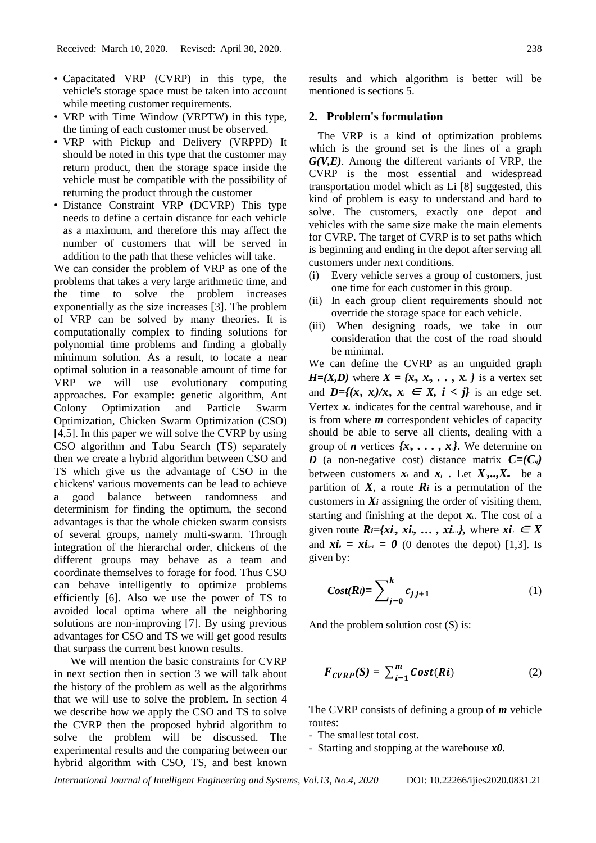- Capacitated VRP (CVRP) in this type, the vehicle's storage space must be taken into account while meeting customer requirements.
- VRP with Time Window (VRPTW) in this type, the timing of each customer must be observed.
- VRP with Pickup and Delivery (VRPPD) It should be noted in this type that the customer may return product, then the storage space inside the vehicle must be compatible with the possibility of returning the product through the customer
- Distance Constraint VRP (DCVRP) This type needs to define a certain distance for each vehicle as a maximum, and therefore this may affect the number of customers that will be served in addition to the path that these vehicles will take.

We can consider the problem of VRP as one of the problems that takes a very large arithmetic time, and the time to solve the problem increases exponentially as the size increases [3]. The problem of VRP can be solved by many theories. It is computationally complex to finding solutions for polynomial time problems and finding a globally minimum solution. As a result, to locate a near optimal solution in a reasonable amount of time for VRP we will use evolutionary computing approaches. For example: genetic algorithm, Ant Colony Optimization and Particle Swarm Optimization, Chicken Swarm Optimization (CSO) [4,5]. In this paper we will solve the CVRP by using CSO algorithm and Tabu Search (TS) separately then we create a hybrid algorithm between CSO and TS which give us the advantage of CSO in the chickens' various movements can be lead to achieve a good balance between randomness and determinism for finding the optimum, the second advantages is that the whole chicken swarm consists of several groups, namely multi-swarm. Through integration of the hierarchal order, chickens of the different groups may behave as a team and coordinate themselves to forage for food. Thus CSO can behave intelligently to optimize problems efficiently [6]. Also we use the power of TS to avoided local optima where all the neighboring solutions are non-improving [7]. By using previous advantages for CSO and TS we will get good results that surpass the current best known results.

We will mention the basic constraints for CVRP in next section then in section 3 we will talk about the history of the problem as well as the algorithms that we will use to solve the problem. In section 4 we describe how we apply the CSO and TS to solve the CVRP then the proposed hybrid algorithm to solve the problem will be discussed. The experimental results and the comparing between our hybrid algorithm with CSO, TS, and best known

results and which algorithm is better will be mentioned is sections 5.

#### **2. Problem's formulation**

The VRP is a kind of optimization problems which is the ground set is the lines of a graph *G(V,E)*. Among the different variants of VRP, the CVRP is the most essential and widespread transportation model which as Li [8] suggested, this kind of problem is easy to understand and hard to solve. The customers, exactly one depot and vehicles with the same size make the main elements for CVRP. The target of CVRP is to set paths which is beginning and ending in the depot after serving all customers under next conditions.

- (i) Every vehicle serves a group of customers, just one time for each customer in this group.
- (ii) In each group client requirements should not override the storage space for each vehicle.
- (iii) When designing roads, we take in our consideration that the cost of the road should be minimal.

We can define the CVRP as an unguided graph  $H=(X,D)$  where  $X = \{x_0, x_1, \ldots, x_n\}$  is a vertex set and  $D=f(x, x_j)/x$ ,  $x_j \in X$ ,  $i < j$  is an edge set. Vertex  $x<sub>0</sub>$  indicates for the central warehouse, and it is from where *m* correspondent vehicles of capacity should be able to serve all clients, dealing with a group of *n* vertices  $\{x_1, \ldots, x_n\}$ . We determine on *D* (a non-negative cost) distance matrix  $C=(C_i)^T$ between customers  $x_i$  and  $x_j$ . Let  $X_i, X_m$  be a partition of  $X$ , a route  $\mathbb{R}$ *i* is a permutation of the customers in  $Xi$  assigning the order of visiting them, starting and finishing at the depot  $x_0$ . The cost of a given route  $R_i = \{xi_i, x_i, \ldots, x_i\}$ , where  $xi_i \in X$ and  $xi_{0} = x\mathbf{i}_{k+1} = 0$  (0 denotes the depot) [1,3]. Is given by:

$$
Cost(Ri) = \sum_{j=0}^{k} c_{j,j+1} \tag{1}
$$

And the problem solution cost (S) is:

$$
F_{CVRP}(S) = \sum_{i=1}^{m} Cost(Ri)
$$
 (2)

The CVRP consists of defining a group of *m* vehicle routes:

- The smallest total cost.
- Starting and stopping at the warehouse *x0*.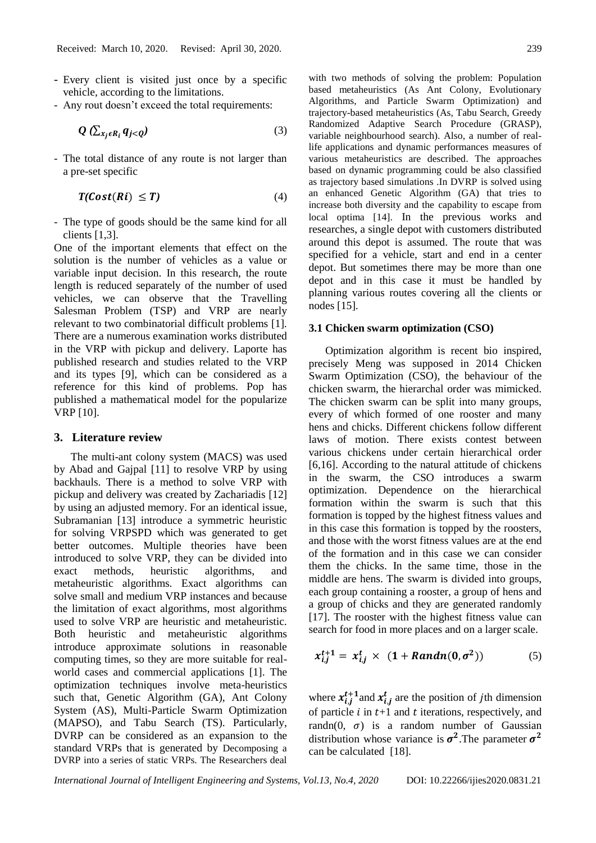- Every client is visited just once by a specific vehicle, according to the limitations.
- Any rout doesn't exceed the total requirements:

$$
Q\left(\sum_{x_j \in R_i} q_{j < Q}\right) \tag{3}
$$

- The total distance of any route is not larger than a pre-set specific

$$
T(Cost(Ri) \leq T) \tag{4}
$$

- The type of goods should be the same kind for all clients [1,3].

One of the important elements that effect on the solution is the number of vehicles as a value or variable input decision. In this research, the route length is reduced separately of the number of used vehicles, we can observe that the Travelling Salesman Problem (TSP) and VRP are nearly relevant to two combinatorial difficult problems [1]. There are a numerous examination works distributed in the VRP with pickup and delivery. Laporte has published research and studies related to the VRP and its types [9], which can be considered as a reference for this kind of problems. Pop has published a mathematical model for the popularize VRP [10].

#### **3. Literature review**

The multi-ant colony system (MACS) was used by Abad and Gajpal [11] to resolve VRP by using backhauls. There is a method to solve VRP with pickup and delivery was created by Zachariadis [12] by using an adjusted memory. For an identical issue, Subramanian [13] introduce a symmetric heuristic for solving VRPSPD which was generated to get better outcomes. Multiple theories have been introduced to solve VRP, they can be divided into exact methods, heuristic algorithms, and metaheuristic algorithms. Exact algorithms can solve small and medium VRP instances and because the limitation of exact algorithms, most algorithms used to solve VRP are heuristic and metaheuristic. Both heuristic and metaheuristic algorithms introduce approximate solutions in reasonable computing times, so they are more suitable for realworld cases and commercial applications [1]. The optimization techniques involve meta-heuristics such that, Genetic Algorithm (GA), Ant Colony System (AS), Multi-Particle Swarm Optimization (MAPSO), and Tabu Search (TS). Particularly, DVRP can be considered as an expansion to the standard VRPs that is generated by Decomposing a DVRP into a series of static VRPs. The Researchers deal

with two methods of solving the problem: Population based metaheuristics (As Ant Colony, Evolutionary Algorithms, and Particle Swarm Optimization) and trajectory-based metaheuristics (As, Tabu Search, Greedy Randomized Adaptive Search Procedure (GRASP), variable neighbourhood search). Also, a number of reallife applications and dynamic performances measures of various metaheuristics are described. The approaches based on dynamic programming could be also classified as trajectory based simulations .In DVRP is solved using an enhanced Genetic Algorithm (GA) that tries to increase both diversity and the capability to escape from local optima [14]. In the previous works and researches, a single depot with customers distributed around this depot is assumed. The route that was specified for a vehicle, start and end in a center depot. But sometimes there may be more than one depot and in this case it must be handled by planning various routes covering all the clients or nodes [15].

#### **3.1 Chicken swarm optimization (CSO)**

Optimization algorithm is recent bio inspired, precisely Meng was supposed in 2014 Chicken Swarm Optimization (CSO), the behaviour of the chicken swarm, the hierarchal order was mimicked. The chicken swarm can be split into many groups, every of which formed of one rooster and many hens and chicks. Different chickens follow different laws of motion. There exists contest between various chickens under certain hierarchical order [6,16]. According to the natural attitude of chickens in the swarm, the CSO introduces a swarm optimization. Dependence on the hierarchical formation within the swarm is such that this formation is topped by the highest fitness values and in this case this formation is topped by the roosters, and those with the worst fitness values are at the end of the formation and in this case we can consider them the chicks. In the same time, those in the middle are hens. The swarm is divided into groups, each group containing a rooster, a group of hens and a group of chicks and they are generated randomly [17]. The rooster with the highest fitness value can search for food in more places and on a larger scale.

$$
x_{i,j}^{t+1} = x_{i,j}^t \times (1 + Random(0, \sigma^2))
$$
 (5)

where  $x_{i,j}^{t+1}$  and  $x_{i,j}^{t}$  are the position of jth dimension of particle  $i$  in  $t+1$  and  $t$  iterations, respectively, and randn(0,  $\sigma$ ) is a random number of Gaussian distribution whose variance is  $\sigma^2$ . The parameter  $\sigma^2$ can be calculated [18].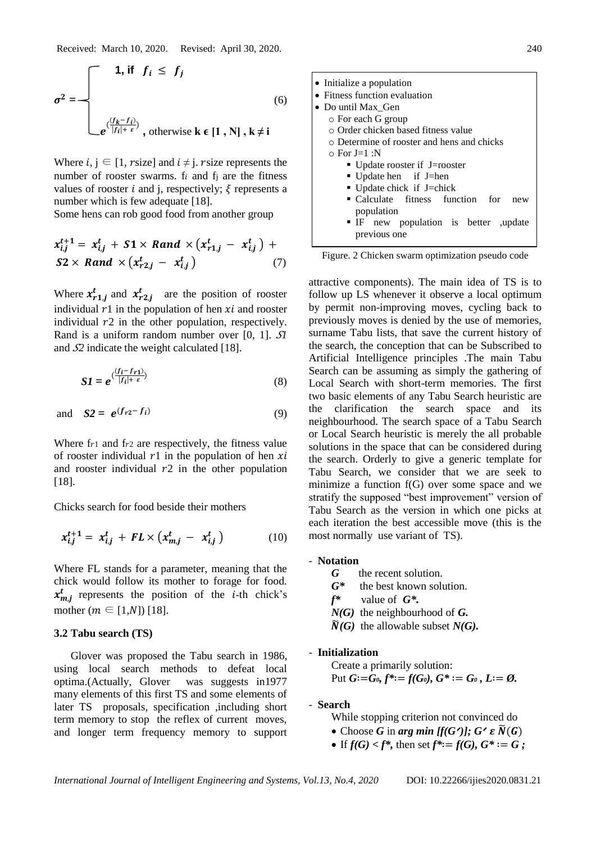Received: March 10, 2020. Revised: April 30, 2020. 240

$$
\sigma^{2} = \begin{cases}\n1, \text{ if } f_{i} \leq f_{j} \\
\downarrow e^{\left(\frac{(f_{k} - f_{i})}{|f_{i}| + \varepsilon}\right)}, \text{ otherwise } k \in [1, N], k \neq i\n\end{cases}
$$
\n(6)

Where  $i, j \in [1, r \text{ size}]$  and  $i \neq j$ . r size represents the number of rooster swarms.  $f_i$  and  $f_j$  are the fitness values of rooster *i* and *j*, respectively;  $\xi$  represents a number which is few adequate [18].

Some hens can rob good food from another group

$$
x_{i,j}^{t+1} = x_{i,j}^t + S1 \times Rand \times (x_{r1,j}^t - x_{i,j}^t) + S2 \times Rand \times (x_{r2,j}^t - x_{i,j}^t)
$$
 (7)

Where  $x_{r1,j}^t$  and  $x_{r2,j}^t$  are the position of rooster individual  $r1$  in the population of hen  $xi$  and rooster individual  $r2$  in the other population, respectively. Rand is a uniform random number over [0, 1]. *SI* and  $\mathcal{S}$  indicate the weight calculated [18].

$$
SI = e^{\left(\frac{(f_i - f_{r1})}{|f_i| + \varepsilon}\right)}
$$
(8)

and 
$$
S2 = e^{(f_{r2} - f_i)}
$$
 (9)

Where  $f_1$  and  $f_2$  are respectively, the fitness value of rooster individual  $r1$  in the population of hen  $xi$ and rooster individual  $r2$  in the other population [18].

Chicks search for food beside their mothers

$$
x_{i,j}^{t+1} = x_{i,j}^t + FL \times \left(x_{m,j}^t - x_{i,j}^t\right) \tag{10}
$$

Where FL stands for a parameter, meaning that the chick would follow its mother to forage for food.  $x_{m,j}^t$  represents the position of the *i*-th chick's mother  $(m \in [1,N])$  [18].

## **3.2 Tabu search (TS)**

Glover was proposed the Tabu search in 1986, using local search methods to defeat local optima.(Actually, Glover was suggests in1977 many elements of this first TS and some elements of later TS proposals, specification ,including short term memory to stop the reflex of current moves, and longer term frequency memory to support



Figure. 2 Chicken swarm optimization pseudo code

attractive components). The main idea of TS is to follow up LS whenever it observe a local optimum by permit non-improving moves, cycling back to previously moves is denied by the use of memories, surname Tabu lists, that save the current history of the search, the conception that can be Subscribed to Artificial Intelligence principles .The main Tabu Search can be assuming as simply the gathering of Local Search with short-term memories. The first two basic elements of any Tabu Search heuristic are the clarification the search space and its neighbourhood. The search space of a Tabu Search or Local Search heuristic is merely the all probable solutions in the space that can be considered during the search. Orderly to give a generic template for Tabu Search, we consider that we are seek to minimize a function f(G) over some space and we stratify the supposed "best improvement" version of Tabu Search as the version in which one picks at each iteration the best accessible move (this is the most normally use variant of TS).

#### - **Notation**

- *G* the recent solution.
- *G\** the best known solution.
- *f\** value of *G\*.*
- *N(G)* the neighbourhood of *G.*
- $\widetilde{N}(G)$  the allowable subset  $N(G)$ .

## - **Initialization**

Create a primarily solution: Put  $G:=G_0$ ,  $f^*:=f(G_0)$ ,  $G^*:=G_0$ ,  $L:=\emptyset$ .

## - **Search**

- While stopping criterion not convinced do
- Choose *G* in *arg min* [ $f(G')$ ];  $G' \in \widetilde{N}(G)$
- If  $f(G) < f^*$ , then set  $f^* := f(G), G^* := G$ ;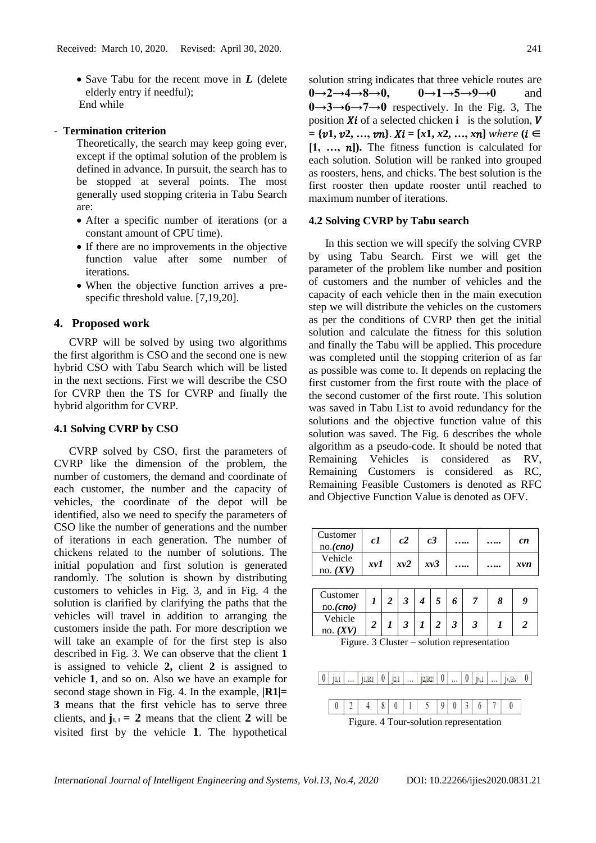• Save Tabu for the recent move in *L* (delete elderly entry if needful); End while

### - **Termination criterion**

Theoretically, the search may keep going ever, except if the optimal solution of the problem is defined in advance. In pursuit, the search has to be stopped at several points. The most generally used stopping criteria in Tabu Search are:

- After a specific number of iterations (or a constant amount of CPU time).
- If there are no improvements in the objective function value after some number of iterations.
- When the objective function arrives a prespecific threshold value. [7,19,20].

## **4. Proposed work**

 CVRP will be solved by using two algorithms the first algorithm is CSO and the second one is new hybrid CSO with Tabu Search which will be listed in the next sections. First we will describe the CSO for CVRP then the TS for CVRP and finally the hybrid algorithm for CVRP.

#### **4.1 Solving CVRP by CSO**

 CVRP solved by CSO, first the parameters of CVRP like the dimension of the problem, the number of customers, the demand and coordinate of each customer, the number and the capacity of vehicles, the coordinate of the depot will be identified, also we need to specify the parameters of CSO like the number of generations and the number of iterations in each generation. The number of chickens related to the number of solutions. The initial population and first solution is generated randomly. The solution is shown by distributing customers to vehicles in Fig. 3, and in Fig. 4 the solution is clarified by clarifying the paths that the vehicles will travel in addition to arranging the customers inside the path. For more description we will take an example of for the first step is also described in Fig. 3. We can observe that the client **1** is assigned to vehicle **2,** client **2** is assigned to vehicle **1**, and so on. Also we have an example for second stage shown in Fig. 4. In the example,  $|R1|=$ **3** means that the first vehicle has to serve three clients, and  $\mathbf{i}_{1,1} = 2$  means that the client 2 will be visited first by the vehicle **1**. The hypothetical solution string indicates that three vehicle routes are **0→2→4→8→0, 0→1→5→9→0** and **0→3→6→7→0** respectively. In the Fig. 3, The position  $Xi$  of a selected chicken **i** is the solution,  $V$  $= \{v1, v2, ..., vn\}$ .  $Xi = [x1, x2, ..., xn]$  where  $(i \in$  $[1, \ldots, n]$ . The fitness function is calculated for each solution. Solution will be ranked into grouped as roosters, hens, and chicks. The best solution is the first rooster then update rooster until reached to maximum number of iterations.

#### **4.2 Solving CVRP by Tabu search**

In this section we will specify the solving CVRP by using Tabu Search. First we will get the parameter of the problem like number and position of customers and the number of vehicles and the capacity of each vehicle then in the main execution step we will distribute the vehicles on the customers as per the conditions of CVRP then get the initial solution and calculate the fitness for this solution and finally the Tabu will be applied. This procedure was completed until the stopping criterion of as far as possible was come to. It depends on replacing the first customer from the first route with the place of the second customer of the first route. This solution was saved in Tabu List to avoid redundancy for the solutions and the objective function value of this solution was saved. The Fig. 6 describes the whole algorithm as a pseudo-code. It should be noted that Remaining Vehicles is considered as RV, Remaining Customers is considered as RC, Remaining Feasible Customers is denoted as RFC and Objective Function Value is denoted as OFV.

| Customer<br>no. (cno) | c1  | c2  | c <sub>3</sub> | <br> | cn  |
|-----------------------|-----|-----|----------------|------|-----|
| Vehicle<br>no. $(XV)$ | xvl | xv2 | xv3            | <br> | xvn |

| Customer<br>no. <sub>(cno)</sub> |  | ◠ |  |  |  |
|----------------------------------|--|---|--|--|--|
| Vehicle<br>no.                   |  |   |  |  |  |

Figure. 3 Cluster – solution representation

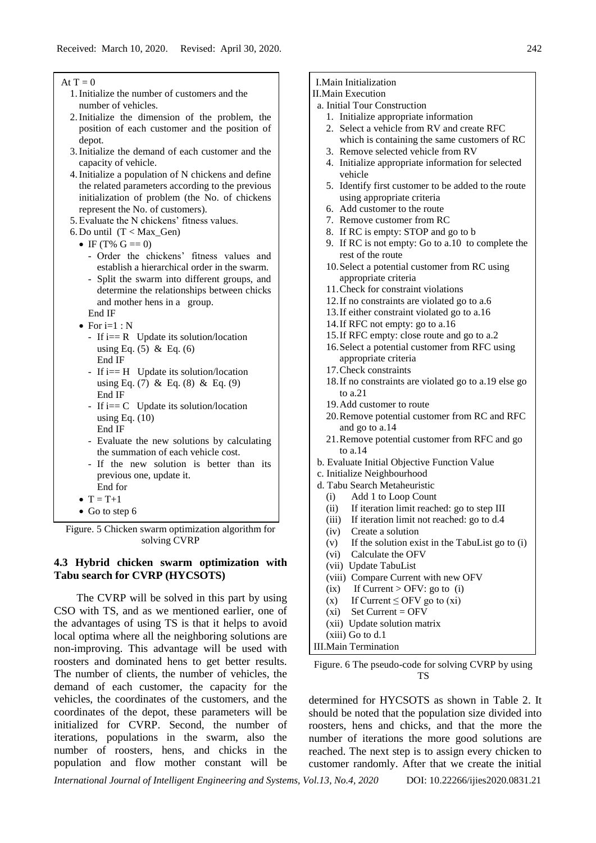#### At  $T = 0$

- 1.Initialize the number of customers and the number of vehicles.
- 2.Initialize the dimension of the problem, the position of each customer and the position of depot.
- 3.Initialize the demand of each customer and the capacity of vehicle.
- 4.Initialize a population of N chickens and define the related parameters according to the previous initialization of problem (the No. of chickens represent the No. of customers).
- 5.Evaluate the N chickens' fitness values.
- 6. Do until  $(T < Max_Gen)$ 
	- IF (T%  $G = 0$ )
		- Order the chickens' fitness values and establish a hierarchical order in the swarm. - Split the swarm into different groups, and determine the relationships between chicks and mother hens in a group.
		- End IF
	- For  $i=1:N$ 
		- If  $i=$  R Update its solution/location using Eq.  $(5)$  & Eq.  $(6)$ End IF
		- If  $i=$  H Update its solution/location using Eq. (7) & Eq. (8) & Eq. (9) End IF
		- If  $i == C$  Update its solution/location using Eq.  $(10)$ End IF
		- Evaluate the new solutions by calculating the summation of each vehicle cost.
		- If the new solution is better than its previous one, update it. End for
	- $T = T+1$
	- Go to step 6

Figure. 5 Chicken swarm optimization algorithm for solving CVRP

## **4.3 Hybrid chicken swarm optimization with Tabu search for CVRP (HYCSOTS)**

The CVRP will be solved in this part by using CSO with TS, and as we mentioned earlier, one of the advantages of using TS is that it helps to avoid local optima where all the neighboring solutions are non-improving. This advantage will be used with roosters and dominated hens to get better results. The number of clients, the number of vehicles, the demand of each customer, the capacity for the vehicles, the coordinates of the customers, and the coordinates of the depot, these parameters will be initialized for CVRP. Second, the number of iterations, populations in the swarm, also the number of roosters, hens, and chicks in the population and flow mother constant will be

## I.Main Initialization

### II.Main Execution

- a. Initial Tour Construction
	- 1. Initialize appropriate information
	- 2. Select a vehicle from RV and create RFC
		- which is containing the same customers of RC
	- 3. Remove selected vehicle from RV
	- 4. Initialize appropriate information for selected vehicle
	- 5. Identify first customer to be added to the route using appropriate criteria
	- 6. Add customer to the route
	- 7. Remove customer from RC
	- 8. If RC is empty: STOP and go to b
	- 9. If RC is not empty: Go to a.10 to complete the rest of the route
	- 10.Select a potential customer from RC using appropriate criteria
	- 11.Check for constraint violations
	- 12.If no constraints are violated go to a.6
	- 13.If either constraint violated go to a.16
	- 14.If RFC not empty: go to a.16
	- 15.If RFC empty: close route and go to a.2
	- 16.Select a potential customer from RFC using
	- appropriate criteria
	- 17.Check constraints
	- 18.If no constraints are violated go to a.19 else go to a.21
	- 19.Add customer to route
	- 20.Remove potential customer from RC and RFC and go to a.14
	- 21.Remove potential customer from RFC and go to a.14
- b. Evaluate Initial Objective Function Value
- c. Initialize Neighbourhood
- d. Tabu Search Metaheuristic
	- (i) Add 1 to Loop Count
	- (ii) If iteration limit reached: go to step III
	- (iii) If iteration limit not reached: go to d.4
	- (iv) Create a solution
	- (v) If the solution exist in the TabuList go to (i)
	- (vi) Calculate the OFV
	- (vii) Update TabuList
	- (viii) Compare Current with new OFV
	- (ix) If Current > OFV: go to (i)
	- (x) If Current  $\leq$  OFV go to (xi)
	- $(xi)$  Set Current = OFV
	- (xii) Update solution matrix
- (xiii) Go to d.1
- III.Main Termination

Figure. 6 The pseudo-code for solving CVRP by using TS

determined for HYCSOTS as shown in Table 2. It should be noted that the population size divided into roosters, hens and chicks, and that the more the number of iterations the more good solutions are reached. The next step is to assign every chicken to customer randomly. After that we create the initial

*International Journal of Intelligent Engineering and Systems, Vol.13, No.4, 2020* DOI: 10.22266/ijies2020.0831.21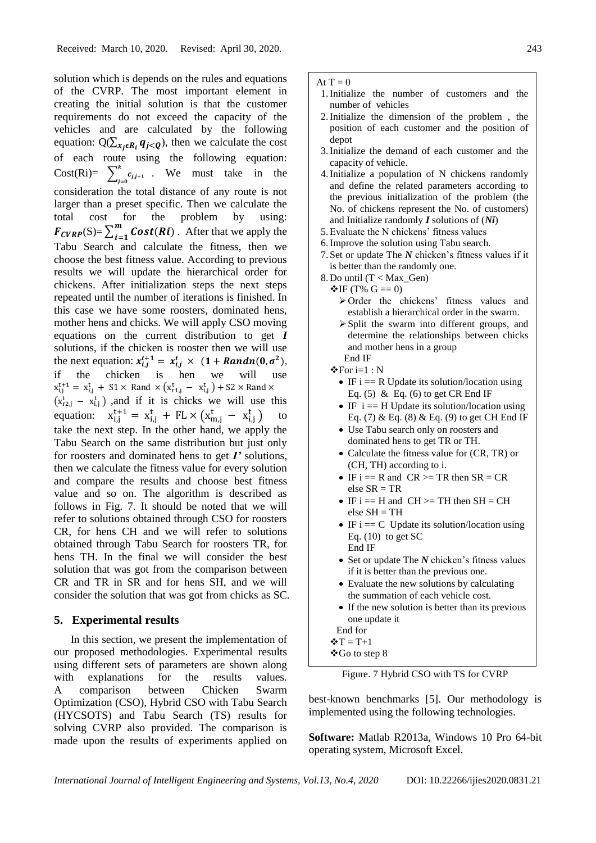solution which is depends on the rules and equations of the CVRP. The most important element in creating the initial solution is that the customer requirements do not exceed the capacity of the vehicles and are calculated by the following equation: Q( $\sum_{x_j \in R_i} q_{j \leq Q}$ ), then we calculate the cost of each route using the following equation: Cost(Ri)=  $\sum_{j=1}^{k} c_{j,j+1}$  $\int_{j=0}^{\infty} c_{j,j+1}$ . We must take in the consideration the total distance of any route is not larger than a preset specific. Then we calculate the total cost for the problem by using:  $F_{CVRP}(S) = \sum_{i=1}^{m} Cost(Ri)$  $\sum_{i=1}^{m} Cost(Ri)$ . After that we apply the Tabu Search and calculate the fitness, then we choose the best fitness value. According to previous results we will update the hierarchical order for chickens. After initialization steps the next steps repeated until the number of iterations is finished. In this case we have some roosters, dominated hens, mother hens and chicks. We will apply CSO moving equations on the current distribution to get *I* solutions, if the chicken is rooster then we will use the next equation:  $x_{i,j}^{t+1} = x_{i,j}^t \times (1 + Random(0, \sigma^2)),$ if the chicken is hen we will use  $x_{i,j}^{t+1} = x_{i,j}^t + S1 \times$  Rand  $\times (x_{r1,j}^t - x_{i,j}^t) + S2 \times$  Rand  $\times$  $(x_{r2,j}^t - x_{i,j}^t)$ , and if it is chicks we will use this equation:  $x_{i,j}^{t+1} = x_{i,j}^t + FL \times (x_{m,j}^t - x_{i,j}^t)$  to take the next step. In the other hand, we apply the Tabu Search on the same distribution but just only for roosters and dominated hens to get *I'* solutions, then we calculate the fitness value for every solution and compare the results and choose best fitness value and so on. The algorithm is described as follows in Fig. 7. It should be noted that we will refer to solutions obtained through CSO for roosters CR, for hens CH and we will refer to solutions obtained through Tabu Search for roosters TR, for hens TH. In the final we will consider the best solution that was got from the comparison between CR and TR in SR and for hens SH, and we will consider the solution that was got from chicks as SC.

### **5. Experimental results**

In this section, we present the implementation of our proposed methodologies. Experimental results using different sets of parameters are shown along with explanations for the results values. A comparison between Chicken Swarm Optimization (CSO), Hybrid CSO with Tabu Search (HYCSOTS) and Tabu Search (TS) results for solving CVRP also provided. The comparison is made upon the results of experiments applied on

#### At  $T = 0$

- 1.Initialize the number of customers and the number of vehicles
- 2.Initialize the dimension of the problem , the position of each customer and the position of depot
- 3.Initialize the demand of each customer and the capacity of vehicle.
- 4.Initialize a population of N chickens randomly and define the related parameters according to the previous initialization of the problem (the No. of chickens represent the No. of customers) and Initialize randomly *I* solutions of (*Ni*)
- 5.Evaluate the N chickens' fitness values
- 6.Improve the solution using Tabu search.
- 7. Set or update The *N* chicken's fitness values if it is better than the randomly one.
- 8. Do until  $(T < Max$  Gen)
	- $\mathbf{\hat{V}}$ IF (T% G == 0)
		- ➢Order the chickens' fitness values and establish a hierarchical order in the swarm.
		- ➢Split the swarm into different groups, and determine the relationships between chicks and mother hens in a group End IF

❖For i=1 : N

- IF  $i = R$  Update its solution/location using Eq. (5) & Eq. (6) to get CR End IF
- IF  $i = H$  Update its solution/location using Eq. (7) & Eq. (8) & Eq. (9) to get CH End IF
- Use Tabu search only on roosters and dominated hens to get TR or TH.
- Calculate the fitness value for (CR, TR) or (CH, TH) according to i.
- IF  $i = R$  and  $CR \geq TR$  then  $SR = CR$ else  $SR = TR$
- IF  $i = H$  and  $CH \geq TH$  then  $SH = CH$ else SH = TH
- IF  $i == C$  Update its solution/location using Eq.  $(10)$  to get SC End IF
- Set or update The *N* chicken's fitness values if it is better than the previous one.
- Evaluate the new solutions by calculating the summation of each vehicle cost.
- If the new solution is better than its previous one update it
- End for
- $\mathbf{\hat{v}}$ T = T+1
- ❖Go to step 8

Figure. 7 Hybrid CSO with TS for CVRP

best-known benchmarks [5]. Our methodology is implemented using the following technologies.

**Software:** Matlab R2013a, Windows 10 Pro 64-bit operating system, Microsoft Excel.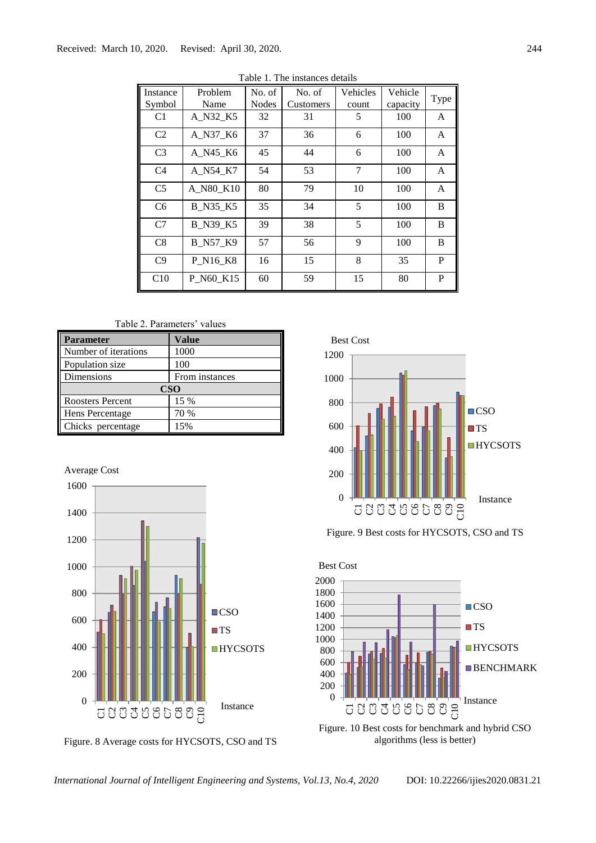| Instance<br>Symbol | Problem<br>Name | No. of<br>Nodes | No. of<br>Customers | Vehicles<br>count | Vehicle<br>capacity | Type |
|--------------------|-----------------|-----------------|---------------------|-------------------|---------------------|------|
| C1                 | A N32 K5        | 32              | 31                  | 5                 | 100                 | A    |
| C <sub>2</sub>     | A N37 K6        | 37              | 36                  | 6                 | 100                 | A    |
| C <sub>3</sub>     | A N45 K6        | 45              | 44                  | 6                 | 100                 | A    |
| C <sub>4</sub>     | A N54 K7        | 54              | 53                  | 7                 | 100                 | A    |
| C <sub>5</sub>     | A_N80_K10       | 80              | 79                  | 10                | 100                 | A    |
| C <sub>6</sub>     | <b>B_N35_K5</b> | 35              | 34                  | 5                 | 100                 | B    |
| C <sub>7</sub>     | <b>B_N39_K5</b> | 39              | 38                  | 5                 | 100                 | B    |
| C8                 | <b>B_N57_K9</b> | 57              | 56                  | 9                 | 100                 | B    |
| C <sub>9</sub>     | P N16_K8        | 16              | 15                  | 8                 | 35                  | P    |
| C10                | P N60 K15       | 60              | 59                  | 15                | 80                  | P    |

Table 1. The instances details

Table 2. Parameters' values

| <b>Parameter</b>        | Value          |  |  |  |  |
|-------------------------|----------------|--|--|--|--|
| Number of iterations    | 1000           |  |  |  |  |
| Population size         | 100            |  |  |  |  |
| Dimensions              | From instances |  |  |  |  |
| <b>CSO</b>              |                |  |  |  |  |
| <b>Roosters Percent</b> | 15 %           |  |  |  |  |
| Hens Percentage         | 70 %           |  |  |  |  |
| Chicks percentage       | 15%            |  |  |  |  |





Figure. 8 Average costs for HYCSOTS, CSO and TS



Figure. 9 Best costs for HYCSOTS, CSO and TS



Figure. 10 Best costs for benchmark and hybrid CSO algorithms (less is better)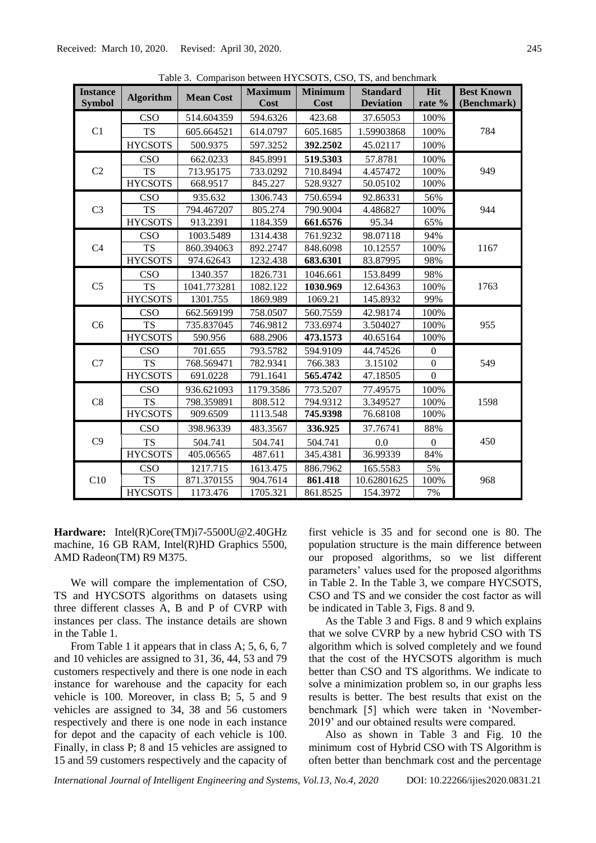| <b>Instance</b> | <b>Algorithm</b> | <b>Mean Cost</b> | <b>Maximum</b> | <b>Minimum</b> | Table 5. Comparison between 111 CSOTS, CSO, 15, and beneminary<br><b>Standard</b> | Hit          | <b>Best Known</b> |  |
|-----------------|------------------|------------------|----------------|----------------|-----------------------------------------------------------------------------------|--------------|-------------------|--|
| <b>Symbol</b>   |                  |                  | <b>Cost</b>    | Cost           | <b>Deviation</b>                                                                  | rate %       | (Benchmark)       |  |
| C1              | CSO              | 514.604359       | 594.6326       | 423.68         | 37.65053                                                                          | 100%         |                   |  |
|                 | <b>TS</b>        | 605.664521       | 614.0797       | 605.1685       | 1.59903868                                                                        | 100%         | 784               |  |
|                 | <b>HYCSOTS</b>   | 500.9375         | 597.3252       | 392.2502       | 45.02117                                                                          | 100%         |                   |  |
|                 | <b>CSO</b>       | 662.0233         | 845.8991       | 519.5303       | 57.8781                                                                           | 100%         |                   |  |
| C2              | <b>TS</b>        | 713.95175        | 733.0292       | 710.8494       | 4.457472                                                                          | 100%         | 949               |  |
|                 | <b>HYCSOTS</b>   | 668.9517         | 845.227        | 528.9327       | 50.05102                                                                          | 100%         |                   |  |
|                 | <b>CSO</b>       | 935.632          | 1306.743       | 750.6594       | 92.86331                                                                          | 56%          |                   |  |
| C <sub>3</sub>  | <b>TS</b>        | 794.467207       | 805.274        | 790.9004       | 4.486827                                                                          | 100%         | 944               |  |
|                 | <b>HYCSOTS</b>   | 913.2391         | 1184.359       | 661.6576       | 95.34                                                                             | 65%          |                   |  |
|                 | <b>CSO</b>       | 1003.5489        | 1314.438       | 761.9232       | 98.07118                                                                          | 94%          |                   |  |
| C <sub>4</sub>  | <b>TS</b>        | 860.394063       | 892.2747       | 848.6098       | 10.12557                                                                          | 100%         | 1167              |  |
|                 | <b>HYCSOTS</b>   | 974.62643        | 1232.438       | 683.6301       | 83.87995                                                                          | 98%          |                   |  |
|                 | <b>CSO</b>       | 1340.357         | 1826.731       | 1046.661       | 153.8499                                                                          | 98%          |                   |  |
| C <sub>5</sub>  | <b>TS</b>        | 1041.773281      | 1082.122       | 1030.969       | 12.64363                                                                          | 100%         | 1763              |  |
|                 | <b>HYCSOTS</b>   | 1301.755         | 1869.989       | 1069.21        | 145.8932                                                                          | 99%          |                   |  |
|                 | CSO              | 662.569199       | 758.0507       | 560.7559       | 42.98174                                                                          | 100%         |                   |  |
| C <sub>6</sub>  | TS               | 735.837045       | 746.9812       | 733.6974       | 3.504027                                                                          | 100%         | 955               |  |
|                 | <b>HYCSOTS</b>   | 590.956          | 688.2906       | 473.1573       | 40.65164                                                                          | 100%         |                   |  |
|                 | <b>CSO</b>       | 701.655          | 793.5782       | 594.9109       | 44.74526                                                                          | $\mathbf{0}$ |                   |  |
| C7              | <b>TS</b>        | 768.569471       | 782.9341       | 766.383        | 3.15102                                                                           | $\Omega$     | 549               |  |
|                 | <b>HYCSOTS</b>   | 691.0228         | 791.1641       | 565.4742       | 47.18505                                                                          | $\mathbf{0}$ |                   |  |
|                 | <b>CSO</b>       | 936.621093       | 1179.3586      | 773.5207       | 77.49575                                                                          | 100%         |                   |  |
| C8              | <b>TS</b>        | 798.359891       | 808.512        | 794.9312       | 3.349527                                                                          | 100%         | 1598              |  |
|                 | <b>HYCSOTS</b>   | 909.6509         | 1113.548       | 745.9398       | 76.68108                                                                          | 100%         |                   |  |
| C9              | CSO              | 398.96339        | 483.3567       | 336.925        | 37.76741                                                                          | 88%          |                   |  |
|                 | <b>TS</b>        | 504.741          | 504.741        | 504.741        | 0.0                                                                               | $\mathbf{0}$ | 450               |  |
|                 | <b>HYCSOTS</b>   | 405.06565        | 487.611        | 345.4381       | 36.99339                                                                          | 84%          |                   |  |
|                 | <b>CSO</b>       | 1217.715         | 1613.475       | 886.7962       | 165.5583                                                                          | 5%           |                   |  |
| C10             | <b>TS</b>        | 871.370155       | 904.7614       | 861.418        | 10.62801625                                                                       | 100%         | 968               |  |
|                 | <b>HYCSOTS</b>   | 1173.476         | 1705.321       | 861.8525       | 154.3972                                                                          | 7%           |                   |  |

Table 3. Comparison between HYCSOTS, CSO, TS, and benchmark

**Hardware:** Intel(R)Core(TM)i7-5500U@2.40GHz machine, 16 GB RAM, Intel(R)HD Graphics 5500, AMD Radeon(TM) R9 M375.

We will compare the implementation of CSO, TS and HYCSOTS algorithms on datasets using three different classes A, B and P of CVRP with instances per class. The instance details are shown in the Table 1.

From Table 1 it appears that in class A; 5, 6, 6, 7 and 10 vehicles are assigned to 31, 36, 44, 53 and 79 customers respectively and there is one node in each instance for warehouse and the capacity for each vehicle is 100. Moreover, in class B; 5, 5 and 9 vehicles are assigned to 34, 38 and 56 customers respectively and there is one node in each instance for depot and the capacity of each vehicle is 100. Finally, in class P; 8 and 15 vehicles are assigned to 15 and 59 customers respectively and the capacity of first vehicle is 35 and for second one is 80. The population structure is the main difference between our proposed algorithms, so we list different parameters' values used for the proposed algorithms in Table 2. In the Table 3, we compare HYCSOTS, CSO and TS and we consider the cost factor as will be indicated in Table 3, Figs. 8 and 9.

As the Table 3 and Figs. 8 and 9 which explains that we solve CVRP by a new hybrid CSO with TS algorithm which is solved completely and we found that the cost of the HYCSOTS algorithm is much better than CSO and TS algorithms. We indicate to solve a minimization problem so, in our graphs less results is better. The best results that exist on the benchmark [5] which were taken in 'November-2019' and our obtained results were compared.

Also as shown in Table 3 and Fig. 10 the minimum cost of Hybrid CSO with TS Algorithm is often better than benchmark cost and the percentage

*International Journal of Intelligent Engineering and Systems, Vol.13, No.4, 2020* DOI: 10.22266/ijies2020.0831.21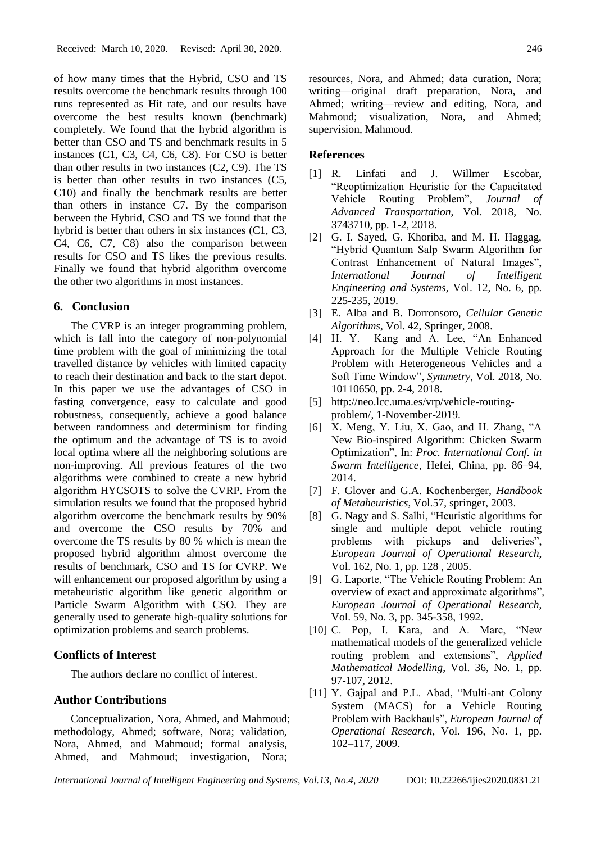of how many times that the Hybrid, CSO and TS results overcome the benchmark results through 100 runs represented as Hit rate, and our results have overcome the best results known (benchmark) completely. We found that the hybrid algorithm is better than CSO and TS and benchmark results in 5 instances (C1, C3, C4, C6, C8). For CSO is better than other results in two instances (C2, C9). The TS is better than other results in two instances (C5, C10) and finally the benchmark results are better than others in instance C7. By the comparison between the Hybrid, CSO and TS we found that the hybrid is better than others in six instances (C1, C3, C4, C6, C7, C8) also the comparison between results for CSO and TS likes the previous results. Finally we found that hybrid algorithm overcome the other two algorithms in most instances.

### **6. Conclusion**

The CVRP is an integer programming problem, which is fall into the category of non-polynomial time problem with the goal of minimizing the total travelled distance by vehicles with limited capacity to reach their destination and back to the start depot. In this paper we use the advantages of CSO in fasting convergence, easy to calculate and good robustness, consequently, achieve a good balance between randomness and determinism for finding the optimum and the advantage of TS is to avoid local optima where all the neighboring solutions are non-improving. All previous features of the two algorithms were combined to create a new hybrid algorithm HYCSOTS to solve the CVRP. From the simulation results we found that the proposed hybrid algorithm overcome the benchmark results by 90% and overcome the CSO results by 70% and overcome the TS results by 80 % which is mean the proposed hybrid algorithm almost overcome the results of benchmark, CSO and TS for CVRP. We will enhancement our proposed algorithm by using a metaheuristic algorithm like genetic algorithm or Particle Swarm Algorithm with CSO. They are generally used to generate high-quality solutions for optimization problems and search problems.

## **Conflicts of Interest**

The authors declare no conflict of interest.

### **Author Contributions**

Conceptualization, Nora, Ahmed, and Mahmoud; methodology, Ahmed; software, Nora; validation, Nora, Ahmed, and Mahmoud; formal analysis, Ahmed, and Mahmoud; investigation, Nora;

resources, Nora, and Ahmed; data curation, Nora; writing—original draft preparation, Nora, and Ahmed; writing—review and editing, Nora, and Mahmoud; visualization, Nora, and Ahmed; supervision, Mahmoud.

### **References**

- [1] R. Linfati and J. Willmer Escobar, "Reoptimization Heuristic for the Capacitated Vehicle Routing Problem", *Journal of Advanced Transportation*, Vol. 2018, No. 3743710, pp. 1-2, 2018.
- [2] G. I. Sayed, G. Khoriba, and M. H. Haggag, "Hybrid Quantum Salp Swarm Algorithm for Contrast Enhancement of Natural Images", *International Journal of Intelligent Engineering and Systems*, Vol. 12, No. 6, pp. 225-235, 2019.
- [3] E. Alba and B. Dorronsoro, *Cellular Genetic Algorithms*, Vol. 42, Springer, 2008.
- [4] H. Y. Kang and A. Lee, "An Enhanced Approach for the Multiple Vehicle Routing Problem with Heterogeneous Vehicles and a Soft Time Window", *Symmetry*, Vol. 2018, No. [10110650,](https://doi.org/10.3390/sym10110650) pp. 2-4, 2018.
- [5] http://neo.lcc.uma.es/vrp/vehicle-routingproblem/, 1-November-2019.
- [6] X. Meng, Y. Liu, X. Gao, and H. Zhang, "A New Bio-inspired Algorithm: Chicken Swarm Optimization", In: *Proc. [International Conf. in](https://link.springer.com/conference/swarm)  [Swarm Intelligence](https://link.springer.com/conference/swarm)*, Hefei, China, pp. 86–94, 2014.
- [7] F. Glover and G.A. Kochenberger, *Handbook of Metaheuristics*, Vol.57, springer, 2003.
- [8] G. Nagy and S. Salhi, "Heuristic algorithms for single and multiple depot vehicle routing problems with pickups and deliveries", *European Journal of Operational Research*, Vol. 162, No. 1, pp. 128 , 2005.
- [9] G. Laporte, "The Vehicle Routing Problem: An overview of exact and approximate algorithms", *European Journal of Operational Research*, Vol. 59, No. 3, pp. 345-358, 1992.
- [10] C. Pop, I. Kara, and A. Marc, "New mathematical models of the generalized vehicle routing problem and extensions", *Applied Mathematical Modelling*, Vol. 36, No. 1, pp. 97-107, 2012.
- [11] Y. Gajpal and P.L. Abad, "Multi-ant Colony System (MACS) for a Vehicle Routing Problem with Backhauls", *European Journal of Operational Research*, Vol. 196, No. 1, pp. 102–117, 2009.

*International Journal of Intelligent Engineering and Systems, Vol.13, No.4, 2020* DOI: 10.22266/ijies2020.0831.21